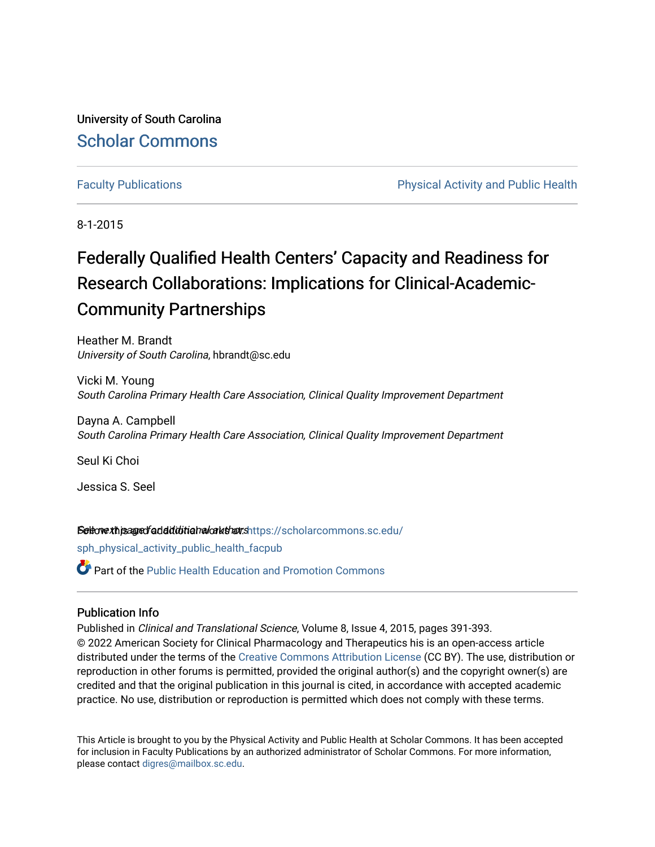University of South Carolina [Scholar Commons](https://scholarcommons.sc.edu/) 

[Faculty Publications](https://scholarcommons.sc.edu/sph_physical_activity_public_health_facpub) **Physical Activity and Public Health** Physical Activity and Public Health

8-1-2015

# Federally Qualified Health Centers' Capacity and Readiness for Research Collaborations: Implications for Clinical-Academic-Community Partnerships

Heather M. Brandt University of South Carolina, hbrandt@sc.edu

Vicki M. Young South Carolina Primary Health Care Association, Clinical Quality Improvement Department

Dayna A. Campbell South Carolina Primary Health Care Association, Clinical Quality Improvement Department

Seul Ki Choi

Jessica S. Seel

Seleovexhiseared additional and authors[https://scholarcommons.sc.edu/](https://scholarcommons.sc.edu/sph_physical_activity_public_health_facpub?utm_source=scholarcommons.sc.edu%2Fsph_physical_activity_public_health_facpub%2F384&utm_medium=PDF&utm_campaign=PDFCoverPages)

[sph\\_physical\\_activity\\_public\\_health\\_facpub](https://scholarcommons.sc.edu/sph_physical_activity_public_health_facpub?utm_source=scholarcommons.sc.edu%2Fsph_physical_activity_public_health_facpub%2F384&utm_medium=PDF&utm_campaign=PDFCoverPages) 

**C** Part of the Public Health Education and Promotion Commons

### Publication Info

Published in Clinical and Translational Science, Volume 8, Issue 4, 2015, pages 391-393. © 2022 American Society for Clinical Pharmacology and Therapeutics his is an open-access article distributed under the terms of the [Creative Commons Attribution License](http://creativecommons.org/licenses/BY-NC-ND/4.0/) (CC BY). The use, distribution or reproduction in other forums is permitted, provided the original author(s) and the copyright owner(s) are credited and that the original publication in this journal is cited, in accordance with accepted academic practice. No use, distribution or reproduction is permitted which does not comply with these terms.

This Article is brought to you by the Physical Activity and Public Health at Scholar Commons. It has been accepted for inclusion in Faculty Publications by an authorized administrator of Scholar Commons. For more information, please contact [digres@mailbox.sc.edu](mailto:digres@mailbox.sc.edu).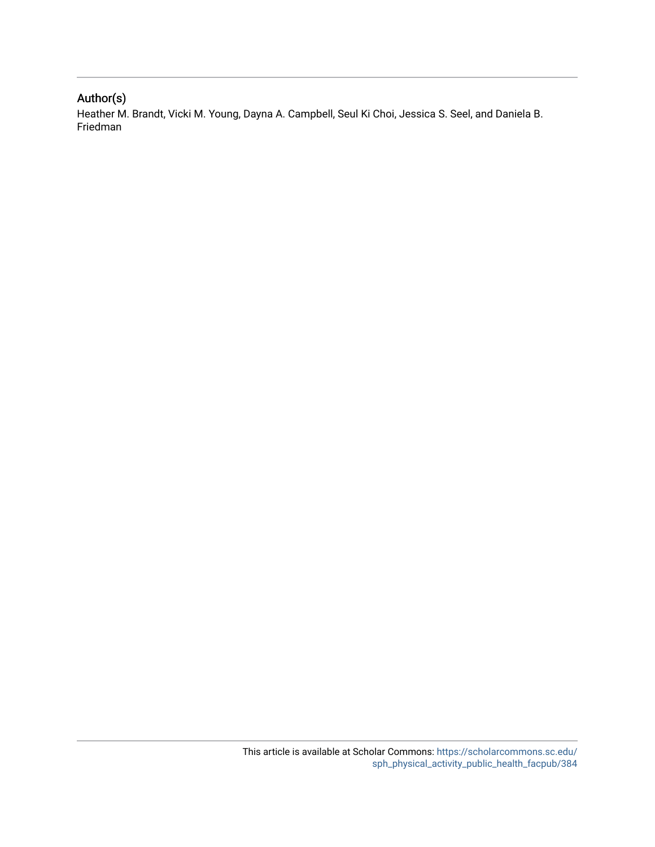### Author(s)

Heather M. Brandt, Vicki M. Young, Dayna A. Campbell, Seul Ki Choi, Jessica S. Seel, and Daniela B. Friedman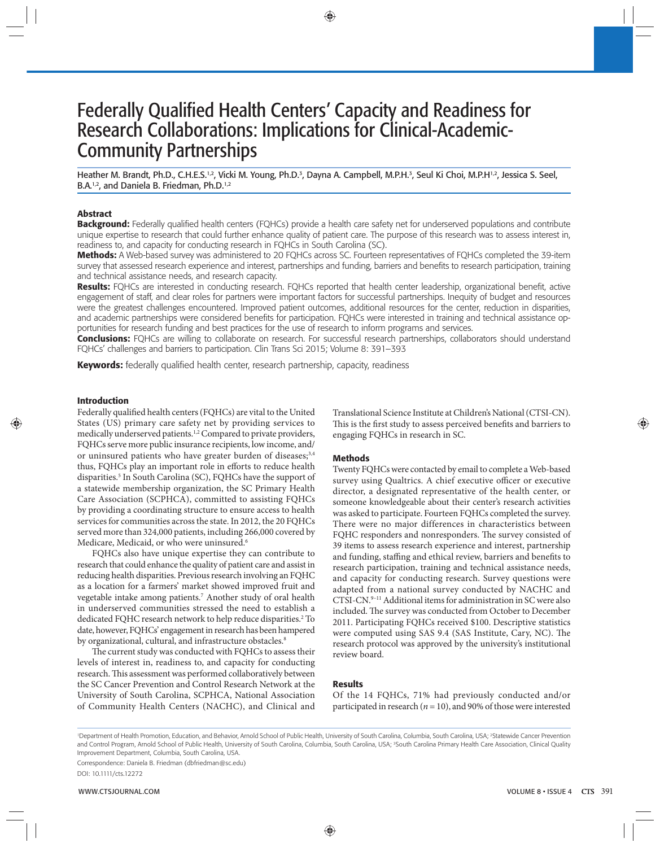## Federally Qualified Health Centers' Capacity and Readiness for Research Collaborations: Implications for Clinical-Academic-Community Partnerships

Heather M. Brandt, Ph.D., C.H.E.S.<sup>1,2</sup>, Vicki M. Young, Ph.D.<sup>3</sup>, Dayna A. Campbell, M.P.H.<sup>3</sup>, Seul Ki Choi, M.P.H<sup>1,2</sup>, Jessica S. Seel, B.A.<sup>1,2</sup>, and Daniela B. Friedman, Ph.D.<sup>1,2</sup>

#### **Abstract**

**Background:** Federally qualified health centers (FQHCs) provide a health care safety net for underserved populations and contribute unique expertise to research that could further enhance quality of patient care. The purpose of this research was to assess interest in, readiness to, and capacity for conducting research in FQHCs in South Carolina (SC).

**Methods :** A Web-based survey was administered to 20 FQHCs across SC. Fourteen representatives of FQHCs completed the 39-item survey that assessed research experience and interest, partnerships and funding, barriers and benefits to research participation, training and technical assistance needs, and research capacity.

Results: FQHCs are interested in conducting research. FQHCs reported that health center leadership, organizational benefit, active engagement of staff, and clear roles for partners were important factors for successful partnerships. Inequity of budget and resources were the greatest challenges encountered. Improved patient outcomes, additional resources for the center, reduction in disparities, and academic partnerships were considered benefits for participation. FQHCs were interested in training and technical assistance opportunities for research funding and best practices for the use of research to inform programs and services.

**Conclusions:** FQHCs are willing to collaborate on research. For successful research partnerships, collaborators should understand FQHCs' challenges and barriers to participation. Clin Trans Sci 2015; Volume 8: 391–393

Keywords: federally qualified health center, research partnership, capacity, readiness

#### **Introduction**

Federally qualified health centers (FQHCs) are vital to the United States (US) primary care safety net by providing services to medically underserved patients.<sup>1,2</sup> Compared to private providers, FQHCs serve more public insurance recipients, low income, and/ or uninsured patients who have greater burden of diseases;<sup>3,4</sup> thus, FQHCs play an important role in efforts to reduce health disparities.<sup>5</sup> In South Carolina (SC), FQHCs have the support of a statewide membership organization, the SC Primary Health Care Association (SCPHCA), committed to assisting FQHCs by providing a coordinating structure to ensure access to health services for communities across the state. In 2012, the 20 FQHCs served more than 324,000 patients, including 266,000 covered by Medicare, Medicaid, or who were uninsured.<sup>6</sup>

 FQHCs also have unique expertise they can contribute to research that could enhance the quality of patient care and assist in reducing health disparities. Previous research involving an FQHC as a location for a farmers' market showed improved fruit and vegetable intake among patients.<sup>7</sup> Another study of oral health in underserved communities stressed the need to establish a dedicated FQHC research network to help reduce disparities.<sup>2</sup> To date, however, FQHCs' engagement in research has been hampered by organizational, cultural, and infrastructure obstacles.<sup>8</sup>

The current study was conducted with FQHCs to assess their levels of interest in, readiness to, and capacity for conducting research. This assessment was performed collaboratively between the SC Cancer Prevention and Control Research Network at the University of South Carolina, SCPHCA, National Association of Community Health Centers (NACHC), and Clinical and Translational Science Institute at Children's National (CTSI-CN). This is the first study to assess perceived benefits and barriers to engaging FQHCs in research in SC.

#### **Methods**

 Twenty FQHCs were contacted by email to complete a Web-based survey using Qualtrics. A chief executive officer or executive director, a designated representative of the health center, or someone knowledgeable about their center's research activities was asked to participate. Fourteen FQHCs completed the survey. There were no major differences in characteristics between FQHC responders and nonresponders. The survey consisted of 39 items to assess research experience and interest, partnership and funding, staffing and ethical review, barriers and benefits to research participation, training and technical assistance needs, and capacity for conducting research. Survey questions were adapted from a national survey conducted by NACHC and CTSI-CN. 9–11 Additional items for administration in SC were also included. The survey was conducted from October to December 2011. Participating FQHCs received \$100. Descriptive statistics were computed using SAS 9.4 (SAS Institute, Cary, NC). The research protocol was approved by the university's institutional review board.

#### **Results**

 Of the 14 FQHCs, 71% had previously conducted and/or participated in research ( $n = 10$ ), and 90% of those were interested

'Department of Health Promotion, Education, and Behavior, Arnold School of Public Health, University of South Carolina, Columbia, South Carolina, USA; <sup>2</sup>Statewide Cancer Prevention and Control Program, Arnold School of Public Health, University of South Carolina, Columbia, South Carolina, USA; <sup>3</sup>South Carolina Primary Health Care Association, Clinical Quality Improvement Department, Columbia, South Carolina, USA.

Correspondence: Daniela B. Friedman (dbfriedman@sc.edu)

DOI: 10.1111/cts.12272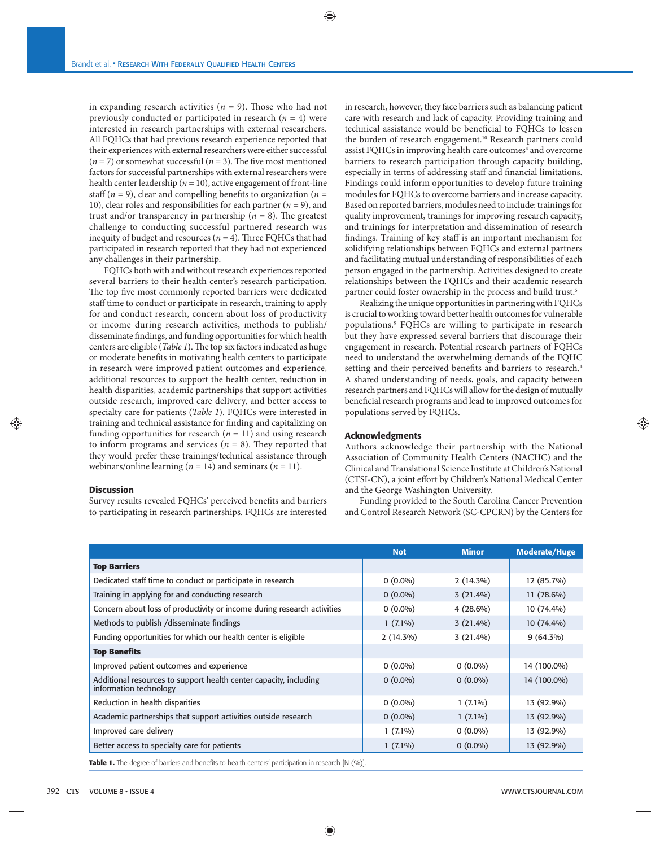in expanding research activities ( $n = 9$ ). Those who had not previously conducted or participated in research  $(n = 4)$  were interested in research partnerships with external researchers. All FQHCs that had previous research experience reported that their experiences with external researchers were either successful  $(n = 7)$  or somewhat successful  $(n = 3)$ . The five most mentioned factors for successful partnerships with external researchers were health center leadership ( $n = 10$ ), active engagement of front-line staff ( $n = 9$ ), clear and compelling benefits to organization ( $n =$ 10), clear roles and responsibilities for each partner  $(n = 9)$ , and trust and/or transparency in partnership  $(n = 8)$ . The greatest challenge to conducting successful partnered research was inequity of budget and resources ( $n = 4$ ). Three FQHCs that had participated in research reported that they had not experienced any challenges in their partnership.

 FQHCs both with and without research experiences reported several barriers to their health center's research participation. The top five most commonly reported barriers were dedicated staff time to conduct or participate in research, training to apply for and conduct research, concern about loss of productivity or income during research activities, methods to publish/ disseminate findings, and funding opportunities for which health centers are eligible (*Table 1*). The top six factors indicated as huge or moderate benefits in motivating health centers to participate in research were improved patient outcomes and experience, additional resources to support the health center, reduction in health disparities, academic partnerships that support activities outside research, improved care delivery, and better access to specialty care for patients (*Table 1*). FQHCs were interested in training and technical assistance for finding and capitalizing on funding opportunities for research  $(n = 11)$  and using research to inform programs and services  $(n = 8)$ . They reported that they would prefer these trainings/technical assistance through webinars/online learning ( $n = 14$ ) and seminars ( $n = 11$ ).

#### **Discussion**

Survey results revealed FQHCs' perceived benefits and barriers to participating in research partnerships. FQHCs are interested

in research, however, they face barriers such as balancing patient care with research and lack of capacity. Providing training and technical assistance would be beneficial to FQHCs to lessen the burden of research engagement.<sup>10</sup> Research partners could assist FQHCs in improving health care outcomes<sup>4</sup> and overcome barriers to research participation through capacity building, especially in terms of addressing staff and financial limitations. Findings could inform opportunities to develop future training modules for FQHCs to overcome barriers and increase capacity. Based on reported barriers, modules need to include: trainings for quality improvement, trainings for improving research capacity, and trainings for interpretation and dissemination of research findings. Training of key staff is an important mechanism for solidifying relationships between FQHCs and external partners and facilitating mutual understanding of responsibilities of each person engaged in the partnership. Activities designed to create relationships between the FQHCs and their academic research partner could foster ownership in the process and build trust.<sup>5</sup>

 Realizing the unique opportunities in partnering with FQHCs is crucial to working toward better health outcomes for vulnerable populations.<sup>9</sup> FQHCs are willing to participate in research but they have expressed several barriers that discourage their engagement in research. Potential research partners of FQHCs need to understand the overwhelming demands of the FQHC setting and their perceived benefits and barriers to research.<sup>4</sup> A shared understanding of needs, goals, and capacity between research partners and FQHCs will allow for the design of mutually beneficial research programs and lead to improved outcomes for populations served by FQHCs.

#### **Acknowledgments**

 Authors acknowledge their partnership with the National Association of Community Health Centers (NACHC) and the Clinical and Translational Science Institute at Children's National (CTSI-CN), a joint effort by Children's National Medical Center and the George Washington University.

 Funding provided to the South Carolina Cancer Prevention and Control Research Network (SC-CPCRN) by the Centers for

|                                                                                             | <b>Not</b>  | <b>Minor</b> | <b>Moderate/Huge</b> |
|---------------------------------------------------------------------------------------------|-------------|--------------|----------------------|
| <b>Top Barriers</b>                                                                         |             |              |                      |
| Dedicated staff time to conduct or participate in research                                  | $0(0.0\%)$  | $2(14.3\%)$  | 12 (85.7%)           |
| Training in applying for and conducting research                                            | $0(0.0\%)$  | $3(21.4\%)$  | $11(78.6\%)$         |
| Concern about loss of productivity or income during research activities                     | $0(0.0\%)$  | $4(28.6\%)$  | 10 (74.4%)           |
| Methods to publish / disseminate findings                                                   | $1(7.1\%)$  | $3(21.4\%)$  | 10 (74.4%)           |
| Funding opportunities for which our health center is eligible                               | $2(14.3\%)$ | $3(21.4\%)$  | $9(64.3\%)$          |
| <b>Top Benefits</b>                                                                         |             |              |                      |
| Improved patient outcomes and experience                                                    | $0(0.0\%)$  | $0(0.0\%)$   | 14 (100.0%)          |
| Additional resources to support health center capacity, including<br>information technology | $0(0.0\%)$  | $0(0.0\%)$   | 14 (100.0%)          |
| Reduction in health disparities                                                             | $0(0.0\%)$  | $1(7.1\%)$   | 13 (92.9%)           |
| Academic partnerships that support activities outside research                              | $0(0.0\%)$  | $1(7.1\%)$   | 13 (92.9%)           |
| Improved care delivery                                                                      | $1(7.1\%)$  | $0(0.0\%)$   | 13 (92.9%)           |
| Better access to specialty care for patients                                                | $1(7.1\%)$  | $0(0.0\%)$   | 13 (92.9%)           |

**Table 1.** The degree of barriers and benefits to health centers' participation in research [N (%)].